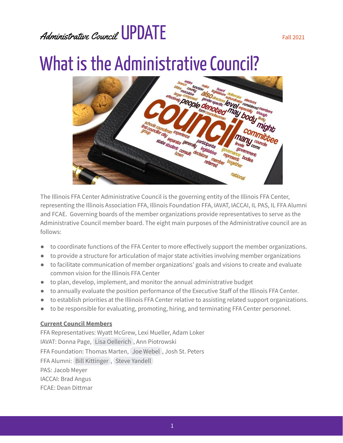#### Administrative Council UPDATE

#### What is the Administrative Council?



The Illinois FFA Center Administrative Council is the governing entity of the Illinois FFA Center, representing the Illinois Association FFA, Illinois Foundation FFA, IAVAT, IACCAI, IL PAS, IL FFA Alumni and FCAE. Governing boards of the member organizations provide representatives to serve as the Administrative Council member board. The eight main purposes of the Administrative council are as follows:

- to coordinate functions of the FFA Center to more effectively support the member organizations.
- to provide a structure for articulation of major state activities involving member organizations
- to facilitate communication of member organizations' goals and visions to create and evaluate common vision for the Illinois FFA Center
- to plan, develop, implement, and monitor the annual administrative budget
- to annually evaluate the position performance of the Executive Staff of the Illinois FFA Center.
- to establish priorities at the Illinois FFA Center relative to assisting related support organizations.
- to be responsible for evaluating, promoting, hiring, and terminating FFA Center personnel.

#### **Current Council Members**

FFA Representatives: Wyatt McGrew, Lexi Mueller, Adam Loker IAVAT: Donna Page, Lisa [Oellerich](mailto:lisaoellerich@scalesmound.net) , Ann Piotrowski FFA Foundation: Thomas Marten, Joe [Webel](mailto:joe.webel@gmail.com) , Josh St. Peters FFA Alumni: Bill [Kittinger](mailto:bkittinger@eld4.org) , Steve [Yandell](mailto:syandell81@gmail.com) PAS: Jacob Meyer IACCAI: Brad Angus FCAE: Dean Dittmar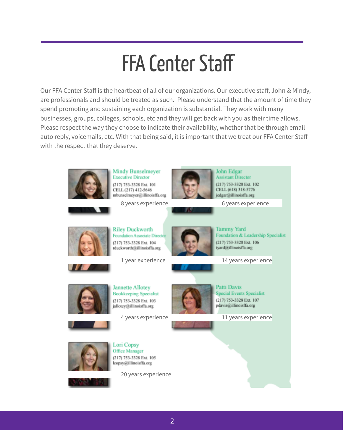### **FFA Center Staff**

Our FFA Center Staff is the heartbeat of all of our organizations. Our executive staff, John & Mindy, are professionals and should be treated as such. Please understand that the amount of time they spend promoting and sustaining each organization is substantial. They work with many businesses, groups, colleges, schools, etc and they will get back with you as their time allows. Please respect the way they choose to indicate their availability, whether that be through email auto reply, voicemails, etc. With that being said, it is important that we treat our FFA Center Staff with the respect that they deserve.



**Mindy Bunselmeyer Executive Director** (217) 753-3328 Ext. 101 CELL (217) 412-5646 mbunselmeyer@illinoisffa.org

8 years experience 6 years experience



John Edgar **Assistant Director** (217) 753-3328 Ext. 102 CELL (618) 318-5776 jedgar@illinoisffa.org



**Riley Duckworth Foundation Associate Director** (217) 753-3328 Ext. 104 rduckworth@illinoisffa.org



**Tammy Yard** Foundation & Leadership Specialist (217) 753-3328 Ext. 106 tyard@illinoisffa.org





**Jannette Allotey Bookkeeping Specialist** (217) 753-3328 Ext. 103 jallotey@illinoisffa.org



Patti Davis **Special Events Specialist** (217) 753-3328 Ext. 107 pdavis@illinoisffa.org

4 years experience 11 years experience



Lori Copsy Office Manager (217) 753-3328 Ext. 105 lcopsy@illinoisffa.org



20 years experience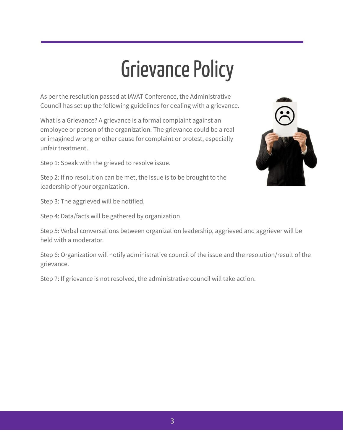### **Grievance Policy**

As per the resolution passed at IAVAT Conference, the Administrative Council has set up the following guidelines for dealing with a grievance.

What is a Grievance? A grievance is a formal complaint against an employee or person of the organization. The grievance could be a real or imagined wrong or other cause for complaint or protest, especially unfair treatment.

Step 1: Speak with the grieved to resolve issue.

Step 2: If no resolution can be met, the issue is to be brought to the leadership of your organization.

Step 3: The aggrieved will be notified.

Step 4: Data/facts will be gathered by organization.

Step 5: Verbal conversations between organization leadership, aggrieved and aggriever will be held with a moderator.

Step 6: Organization will notify administrative council of the issue and the resolution/result of the grievance.

Step 7: If grievance is not resolved, the administrative council will take action.